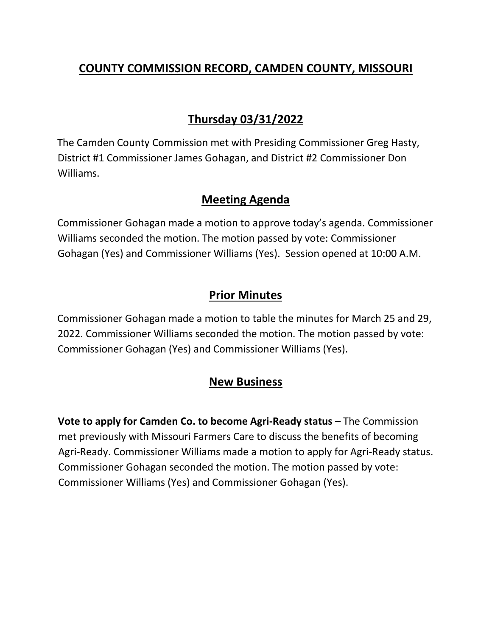## **COUNTY COMMISSION RECORD, CAMDEN COUNTY, MISSOURI**

# **Thursday 03/31/2022**

The Camden County Commission met with Presiding Commissioner Greg Hasty, District #1 Commissioner James Gohagan, and District #2 Commissioner Don Williams.

### **Meeting Agenda**

Commissioner Gohagan made a motion to approve today's agenda. Commissioner Williams seconded the motion. The motion passed by vote: Commissioner Gohagan (Yes) and Commissioner Williams (Yes). Session opened at 10:00 A.M.

### **Prior Minutes**

Commissioner Gohagan made a motion to table the minutes for March 25 and 29, 2022. Commissioner Williams seconded the motion. The motion passed by vote: Commissioner Gohagan (Yes) and Commissioner Williams (Yes).

## **New Business**

**Vote to apply for Camden Co. to become Agri-Ready status –** The Commission met previously with Missouri Farmers Care to discuss the benefits of becoming Agri-Ready. Commissioner Williams made a motion to apply for Agri-Ready status. Commissioner Gohagan seconded the motion. The motion passed by vote: Commissioner Williams (Yes) and Commissioner Gohagan (Yes).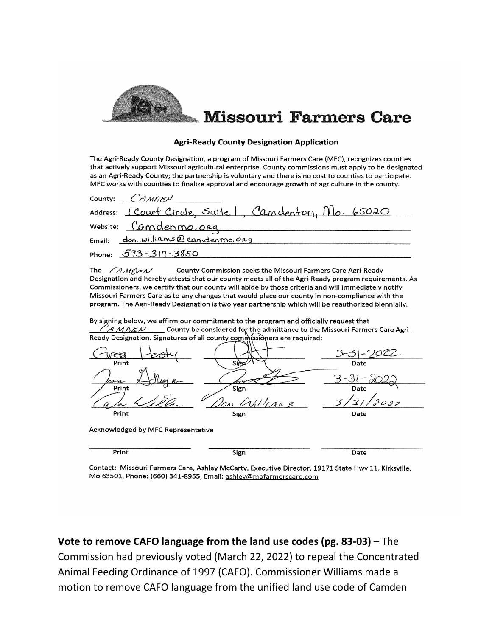

#### **Agri-Ready County Designation Application**

The Agri-Ready County Designation, a program of Missouri Farmers Care (MFC), recognizes counties that actively support Missouri agricultural enterprise. County commissions must apply to be designated as an Agri-Ready County; the partnership is voluntary and there is no cost to counties to participate. MFC works with counties to finalize approval and encourage growth of agriculture in the county.

|        | County: $C$ <i>AMDEN</i>                                |
|--------|---------------------------------------------------------|
|        | Address: 1 Court Circle, Suite 1, Camdenton, Mlo. 65020 |
|        | Website: Camdenmo.org                                   |
| Email: | don_williams@candenmo.org                               |
|        | Phone: $573 - 317 - 3850$                               |

The  $\angle$ AMEN County Commission seeks the Missouri Farmers Care Agri-Ready Designation and hereby attests that our county meets all of the Agri-Ready program requirements. As Commissioners, we certify that our county will abide by those criteria and will immediately notify Missouri Farmers Care as to any changes that would place our county in non-compliance with the program. The Agri-Ready Designation is two year partnership which will be reauthorized biennially.

By signing below, we affirm our commitment to the program and officially request that  $C$ AMDEN County be considered for the admittance to the Missouri Farmers Care Agri-Ready Designation. Signatures of all county commissioners are required:



Print Sign

Date

Contact: Missouri Farmers Care, Ashley McCarty, Executive Director, 19171 State Hwy 11, Kirksville, Mo 63501, Phone: (660) 341-8955, Email: ashley@mofarmerscare.com

Vote to remove CAFO language from the land use codes (pg. 83-03) – The Commission had previously voted (March 22, 2022) to repeal the Concentrated Animal Feeding Ordinance of 1997 (CAFO). Commissioner Williams made a motion to remove CAFO language from the unified land use code of Camden